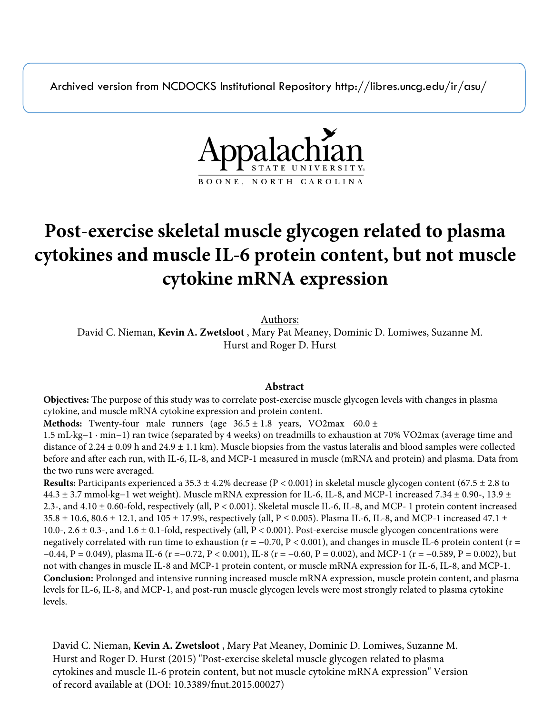Archived version from NCDOCKS Institutional Repository http://libres.uncg.edu/ir/asu/



# **Post-exercise skeletal muscle glycogen related to plasma cytokines and muscle IL-6 protein content, but not muscle cytokine mRNA expression**

Authors:

David C. Nieman, **Kevin A. Zwetsloot** , Mary Pat Meaney, Dominic D. Lomiwes, Suzanne M. Hurst and Roger D. Hurst

## **Abstract**

**Objectives:** The purpose of this study was to correlate post-exercise muscle glycogen levels with changes in plasma cytokine, and muscle mRNA cytokine expression and protein content.

Methods: Twenty-four male runners (age  $36.5 \pm 1.8$  years, VO2max  $60.0 \pm$ 

1.5 mL·kg−1 · min−1) ran twice (separated by 4 weeks) on treadmills to exhaustion at 70% VO2max (average time and distance of 2.24  $\pm$  0.09 h and 24.9  $\pm$  1.1 km). Muscle biopsies from the vastus lateralis and blood samples were collected before and after each run, with IL-6, IL-8, and MCP-1 measured in muscle (mRNA and protein) and plasma. Data from the two runs were averaged.

**Results:** Participants experienced a  $35.3 \pm 4.2\%$  decrease (P < 0.001) in skeletal muscle glycogen content (67.5  $\pm$  2.8 to  $44.3 \pm 3.7$  mmol·kg−1 wet weight). Muscle mRNA expression for IL-6, IL-8, and MCP-1 increased 7.34  $\pm$  0.90-, 13.9  $\pm$ 2.3-, and 4.10 ± 0.60-fold, respectively (all, P < 0.001). Skeletal muscle IL-6, IL-8, and MCP- 1 protein content increased  $35.8 \pm 10.6$ ,  $80.6 \pm 12.1$ , and  $105 \pm 17.9$ %, respectively (all,  $P \le 0.005$ ). Plasma IL-6, IL-8, and MCP-1 increased 47.1  $\pm$ 10.0-, 2.6  $\pm$  0.3-, and 1.6  $\pm$  0.1-fold, respectively (all, P < 0.001). Post-exercise muscle glycogen concentrations were negatively correlated with run time to exhaustion ( $r = -0.70$ ,  $P < 0.001$ ), and changes in muscle IL-6 protein content ( $r =$ −0.44, P = 0.049), plasma IL-6 (r =−0.72, P < 0.001), IL-8 (r = −0.60, P = 0.002), and MCP-1 (r = −0.589, P = 0.002), but not with changes in muscle IL-8 and MCP-1 protein content, or muscle mRNA expression for IL-6, IL-8, and MCP-1. **Conclusion:** Prolonged and intensive running increased muscle mRNA expression, muscle protein content, and plasma levels for IL-6, IL-8, and MCP-1, and post-run muscle glycogen levels were most strongly related to plasma cytokine levels.

David C. Nieman, **Kevin A. Zwetsloot** , Mary Pat Meaney, Dominic D. Lomiwes, Suzanne M. Hurst and Roger D. Hurst (2015) "Post-exercise skeletal muscle glycogen related to plasma cytokines and muscle IL-6 protein content, but not muscle cytokine mRNA expression" Version of record available at (DOI: 10.3389/fnut.2015.00027)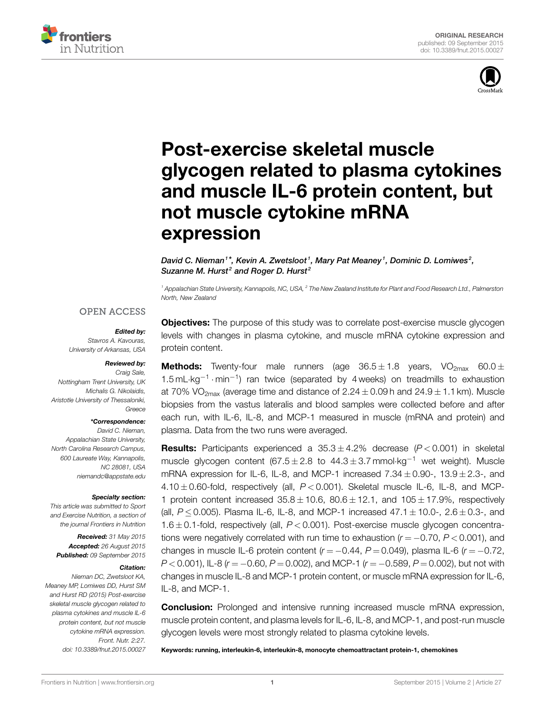



## **[Post-exercise skeletal muscle](http://www.frontiersin.org/Journal/10.3389/fnut.2015.00027/abstract) [glycogen related to plasma cytokines](http://www.frontiersin.org/Journal/10.3389/fnut.2015.00027/abstract) [and muscle IL-6 protein content, but](http://www.frontiersin.org/Journal/10.3389/fnut.2015.00027/abstract) [not muscle cytokine mRNA](http://www.frontiersin.org/Journal/10.3389/fnut.2015.00027/abstract) [expression](http://www.frontiersin.org/Journal/10.3389/fnut.2015.00027/abstract)**

*David [C. Nieman](http://loop.frontiersin.org/people/210374/overview)<sup>1</sup> \*, [Kevin A. Zwetsloot](http://loop.frontiersin.org/people/212213/overview) <sup>1</sup> , [Mary Pat Meaney](http://loop.frontiersin.org/people/269101/overview) <sup>1</sup> , [Dominic D. Lomiwes](http://loop.frontiersin.org/people/212511/overview) <sup>2</sup> , [Suzanne M. Hurst](http://loop.frontiersin.org/people/213254/overview) <sup>2</sup> and [Roger D. Hurst](http://loop.frontiersin.org/people/212440/overview) <sup>2</sup>*

*<sup>1</sup> Appalachian State University, Kannapolis, NC, USA, <sup>2</sup> The New Zealand Institute for Plant and Food Research Ltd., Palmerston North, New Zealand*

#### **OPEN ACCESS**

#### *Edited by:*

*Stavros A. Kavouras, University of Arkansas, USA*

#### *Reviewed by:*

*Craig Sale, Nottingham Trent University, UK Michalis G. Nikolaidis, Aristotle University of Thessaloniki, Greece*

#### *\*Correspondence:*

*David C. Nieman, Appalachian State University, North Carolina Research Campus, 600 Laureate Way, Kannapolis, NC 28081, USA [niemandc@appstate.edu](mailto:niemandc@appstate.edu)*

#### *Specialty section:*

*This article was submitted to Sport and Exercise Nutrition, a section of the journal Frontiers in Nutrition*

*Received: 31 May 2015 Accepted: 26 August 2015 Published: 09 September 2015*

#### *Citation:*

*Nieman DC, Zwetsloot KA, Meaney MP, Lomiwes DD, Hurst SM and Hurst RD (2015) Post-exercise skeletal muscle glycogen related to plasma cytokines and muscle IL-6 protein content, but not muscle cytokine mRNA expression. Front. Nutr. 2:27. doi: [10.3389/fnut.2015.00027](http://dx.doi.org/10.3389/fnut.2015.00027)*

**Objectives:** The purpose of this study was to correlate post-exercise muscle glycogen levels with changes in plasma cytokine, and muscle mRNA cytokine expression and protein content.

**Methods:** Twenty-four male runners (age  $36.5 \pm 1.8$  years,  $\sqrt{VQ_{2\text{max}}}$  60.0  $\pm$ 1.5 mL*·*kg*−*<sup>1</sup> *·* min*−*<sup>1</sup> ) ran twice (separated by 4 weeks) on treadmills to exhaustion at 70% VO<sub>2max</sub> (average time and distance of  $2.24 \pm 0.09$  h and  $24.9 \pm 1.1$  km). Muscle biopsies from the vastus lateralis and blood samples were collected before and after each run, with IL-6, IL-8, and MCP-1 measured in muscle (mRNA and protein) and plasma. Data from the two runs were averaged.

**Results:** Participants experienced a 35.3 *±* 4.2% decrease (*P <* 0.001) in skeletal muscle glycogen content (67.5 *±* 2.8 to 44.3 *±* 3.7 mmol*·*kg*−*<sup>1</sup> wet weight). Muscle mRNA expression for IL-6, IL-8, and MCP-1 increased 7.34 *±* 0.90-, 13.9 *±* 2.3-, and 4.10 *±* 0.60-fold, respectively (all, *P <* 0.001). Skeletal muscle IL-6, IL-8, and MCP-1 protein content increased 35.8 *±* 10.6, 80.6 *±* 12.1, and 105 *±* 17.9%, respectively (all, *P ≤* 0.005). Plasma IL-6, IL-8, and MCP-1 increased 47.1 *±* 10.0-, 2.6 *±* 0.3-, and 1.6 *±* 0.1-fold, respectively (all, *P <* 0.001). Post-exercise muscle glycogen concentrations were negatively correlated with run time to exhaustion (*r* = *−*0.70, *P <* 0.001), and changes in muscle IL-6 protein content (*r* = *−*0.44, *P* = 0.049), plasma IL-6 (*r* = *−*0.72, *P* < 0.001), IL-8 (*r* = −0.60, *P* = 0.002), and MCP-1 (*r* = −0.589, *P* = 0.002), but not with changes in muscle IL-8 and MCP-1 protein content, or muscle mRNA expression for IL-6, IL-8, and MCP-1.

**Conclusion:** Prolonged and intensive running increased muscle mRNA expression, muscle protein content, and plasma levels for IL-6, IL-8, and MCP-1, and post-run muscle glycogen levels were most strongly related to plasma cytokine levels.

**Keywords: running, interleukin-6, interleukin-8, monocyte chemoattractant protein-1, chemokines**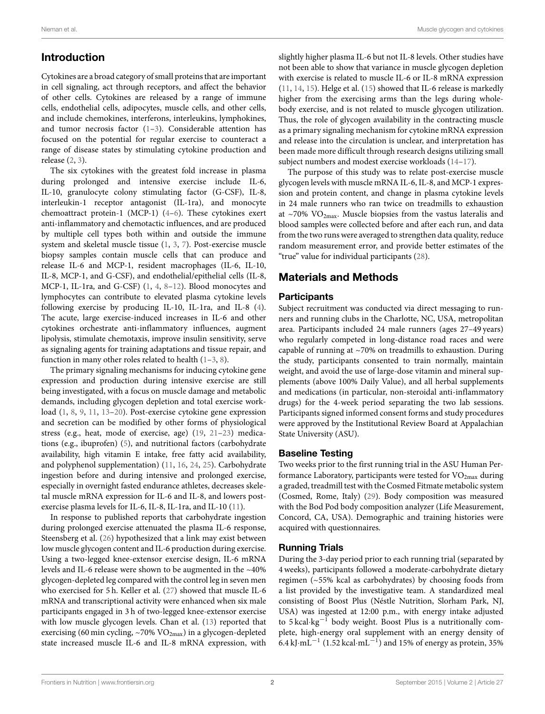## **Introduction**

Cytokines are a broad category of small proteins that are important in cell signaling, act through receptors, and affect the behavior of other cells. Cytokines are released by a range of immune cells, endothelial cells, adipocytes, muscle cells, and other cells, and include chemokines, interferons, interleukins, lymphokines, and tumor necrosis factor([1](#page-6-0)[–3\)](#page-6-1). Considerable attention has focused on the potential for regular exercise to counteract a range of disease states by stimulating cytokine production and release [\(2,](#page-6-2) [3](#page-6-1)).

The six cytokines with the greatest fold increase in plasma during prolonged and intensive exercise include IL-6, IL-10, granulocyte colony stimulating factor (G-CSF), IL-8, interleukin-1 receptor antagonist (IL-1ra), and monocyte chemoattract protein-1 (MCP-1)([4](#page-6-3)[–6\)](#page-6-4). These cytokines exert anti-inflammatory and chemotactic influences, and are produced by multiple cell types both within and outside the immune system and skeletal muscle tissue [\(1,](#page-6-0) [3,](#page-6-1) [7](#page-6-5)). Post-exercise muscle biopsy samples contain muscle cells that can produce and release IL-6 and MCP-1, resident macrophages (IL-6, IL-10, IL-8, MCP-1, and G-CSF), and endothelial/epithelial cells (IL-8, MCP-1, IL-1ra, and G-CSF)([1](#page-6-0), [4](#page-6-3), [8–](#page-6-6)[12\)](#page-7-0). Blood monocytes and lymphocytes can contribute to elevated plasma cytokine levels following exercise by producing IL-10, IL-1ra, and IL-8([4](#page-6-3)). The acute, large exercise-induced increases in IL-6 and other cytokines orchestrate anti-inflammatory influences, augment lipolysis, stimulate chemotaxis, improve insulin sensitivity, serve as signaling agents for training adaptations and tissue repair, and function in many other roles related to health  $(1-3, 8)$  $(1-3, 8)$ .

The primary signaling mechanisms for inducing cytokine gene expression and production during intensive exercise are still being investigated, with a focus on muscle damage and metabolic demands, including glycogen depletion and total exercise workload([1](#page-6-0), [8,](#page-6-6) [9,](#page-6-7) [11,](#page-7-1) [13](#page-7-2)–[20](#page-7-3)). Post-exercise cytokine gene expression and secretion can be modified by other forms of physiological stress (e.g., heat, mode of exercise, age) [\(19,](#page-7-4) [21](#page-7-5)[–23](#page-7-6)) medications (e.g., ibuprofen)([5](#page-6-8)), and nutritional factors (carbohydrate availability, high vitamin E intake, free fatty acid availability, and polyphenol supplementation) [\(11](#page-7-1), [16,](#page-7-7) [24,](#page-7-8) [25\)](#page-7-9). Carbohydrate ingestion before and during intensive and prolonged exercise, especially in overnight fasted endurance athletes, decreases skeletal muscle mRNA expression for IL-6 and IL-8, and lowers postexercise plasma levels for IL-6, IL-8, IL-1ra, and IL-10 [\(11\)](#page-7-1).

In response to published reports that carbohydrate ingestion during prolonged exercise attenuated the plasma IL-6 response, Steensberg et al. [\(26](#page-7-10)) hypothesized that a link may exist between low muscle glycogen content and IL-6 production during exercise. Using a two-legged knee-extensor exercise design, IL-6 mRNA levels and IL-6 release were shown to be augmented in the ~40% glycogen-depleted leg compared with the control leg in seven men who exercised for 5 h. Keller et al. [\(27\)](#page-7-11) showed that muscle IL-6 mRNA and transcriptional activity were enhanced when six male participants engaged in 3 h of two-legged knee-extensor exercise with low muscle glycogen levels. Chan et al. [\(13](#page-7-2)) reported that exercising (60 min cycling, ~70% VO<sub>2max</sub>) in a glycogen-depleted state increased muscle IL-6 and IL-8 mRNA expression, with slightly higher plasma IL-6 but not IL-8 levels. Other studies have not been able to show that variance in muscle glycogen depletion with exercise is related to muscle IL-6 or IL-8 mRNA expression ([11,](#page-7-1) [14](#page-7-12), [15\)](#page-7-13). Helge et al. [\(15](#page-7-13)) showed that IL-6 release is markedly higher from the exercising arms than the legs during wholebody exercise, and is not related to muscle glycogen utilization. Thus, the role of glycogen availability in the contracting muscle as a primary signaling mechanism for cytokine mRNA expression and release into the circulation is unclear, and interpretation has been made more difficult through research designs utilizing small subject numbers and modest exercise workloads [\(14](#page-7-12)[–17](#page-7-14)).

The purpose of this study was to relate post-exercise muscle glycogen levels with muscle mRNA IL-6, IL-8, and MCP-1 expression and protein content, and change in plasma cytokine levels in 24 male runners who ran twice on treadmills to exhaustion at ~70%  $VO<sub>2max</sub>$ . Muscle biopsies from the vastus lateralis and blood samples were collected before and after each run, and data from the two runs were averaged to strengthen data quality, reduce random measurement error, and provide better estimates of the "true" value for individual participants [\(28](#page-7-15)).

## **Materials and Methods**

#### **Participants**

Subject recruitment was conducted via direct messaging to runners and running clubs in the Charlotte, NC, USA, metropolitan area. Participants included 24 male runners (ages 27–49 years) who regularly competed in long-distance road races and were capable of running at ~70% on treadmills to exhaustion. During the study, participants consented to train normally, maintain weight, and avoid the use of large-dose vitamin and mineral supplements (above 100% Daily Value), and all herbal supplements and medications (in particular, non-steroidal anti-inflammatory drugs) for the 4-week period separating the two lab sessions. Participants signed informed consent forms and study procedures were approved by the Institutional Review Board at Appalachian State University (ASU).

#### **Baseline Testing**

Two weeks prior to the first running trial in the ASU Human Performance Laboratory, participants were tested for  $VO_{2max}$  during a graded, treadmill test with the Cosmed Fitmate metabolic system (Cosmed, Rome, Italy) [\(29](#page-7-16)). Body composition was measured with the Bod Pod body composition analyzer (Life Measurement, Concord, CA, USA). Demographic and training histories were acquired with questionnaires.

#### **Running Trials**

During the 3-day period prior to each running trial (separated by 4 weeks), participants followed a moderate-carbohydrate dietary regimen (~55% kcal as carbohydrates) by choosing foods from a list provided by the investigative team. A standardized meal consisting of Boost Plus (Néstle Nutrition, Slorham Park, NJ, USA) was ingested at 12:00 p.m., with energy intake adjusted to 5 kcal*·*kg*−*<sup>1</sup> body weight. Boost Plus is a nutritionally complete, high-energy oral supplement with an energy density of 6.4 kJ*·*mL*−*<sup>1</sup> (1.52 kcal*·*mL*−*<sup>1</sup> ) and 15% of energy as protein, 35%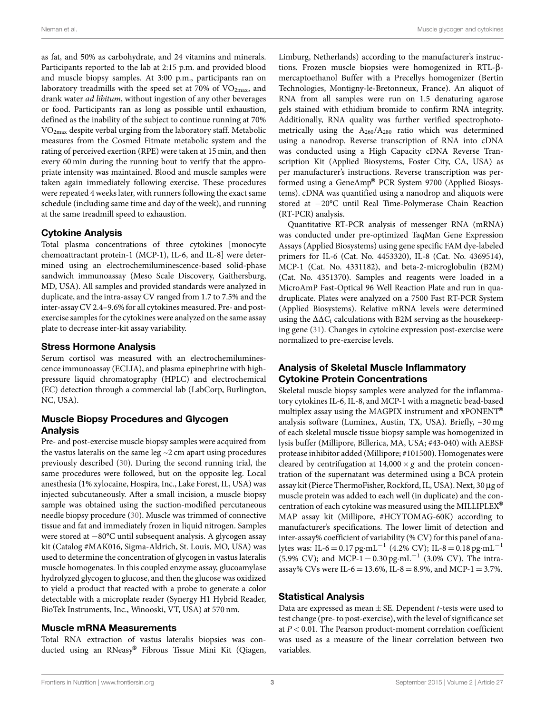as fat, and 50% as carbohydrate, and 24 vitamins and minerals. Participants reported to the lab at 2:15 p.m. and provided blood and muscle biopsy samples. At 3:00 p.m., participants ran on laboratory treadmills with the speed set at 70% of VO<sub>2max</sub>, and drank water *ad libitum*, without ingestion of any other beverages or food. Participants ran as long as possible until exhaustion, defined as the inability of the subject to continue running at 70%  $VO<sub>2max</sub>$  despite verbal urging from the laboratory staff. Metabolic measures from the Cosmed Fitmate metabolic system and the rating of perceived exertion (RPE) were taken at 15 min, and then every 60 min during the running bout to verify that the appropriate intensity was maintained. Blood and muscle samples were taken again immediately following exercise. These procedures were repeated 4 weeks later, with runners following the exact same schedule (including same time and day of the week), and running at the same treadmill speed to exhaustion.

#### **Cytokine Analysis**

Total plasma concentrations of three cytokines [monocyte chemoattractant protein-1 (MCP-1), IL-6, and IL-8] were determined using an electrochemiluminescence-based solid-phase sandwich immunoassay (Meso Scale Discovery, Gaithersburg, MD, USA). All samples and provided standards were analyzed in duplicate, and the intra-assay CV ranged from 1.7 to 7.5% and the inter-assay CV 2.4–9.6% for all cytokines measured. Pre- and postexercise samples for the cytokines were analyzed on the same assay plate to decrease inter-kit assay variability.

#### **Stress Hormone Analysis**

Serum cortisol was measured with an electrochemiluminescence immunoassay (ECLIA), and plasma epinephrine with highpressure liquid chromatography (HPLC) and electrochemical (EC) detection through a commercial lab (LabCorp, Burlington, NC, USA).

#### **Muscle Biopsy Procedures and Glycogen Analysis**

Pre- and post-exercise muscle biopsy samples were acquired from the vastus lateralis on the same leg  $\sim$  2 cm apart using procedures previously described [\(30\)](#page-7-17). During the second running trial, the same procedures were followed, but on the opposite leg. Local anesthesia (1% xylocaine, Hospira, Inc., Lake Forest, IL, USA) was injected subcutaneously. After a small incision, a muscle biopsy sample was obtained using the suction-modified percutaneous needle biopsy procedure([30\)](#page-7-17). Muscle was trimmed of connective tissue and fat and immediately frozen in liquid nitrogen. Samples were stored at *−*80°C until subsequent analysis. A glycogen assay kit (Catalog #MAK016, Sigma-Aldrich, St. Louis, MO, USA) was used to determine the concentration of glycogen in vastus lateralis muscle homogenates. In this coupled enzyme assay, glucoamylase hydrolyzed glycogen to glucose, and then the glucose was oxidized to yield a product that reacted with a probe to generate a color detectable with a microplate reader (Synergy H1 Hybrid Reader, BioTek Instruments, Inc., Winooski, VT, USA) at 570 nm.

#### **Muscle mRNA Measurements**

Total RNA extraction of vastus lateralis biopsies was conducted using an RNeasy® Fibrous Tissue Mini Kit (Qiagen,

Limburg, Netherlands) according to the manufacturer's instructions. Frozen muscle biopsies were homogenized in RTL-βmercaptoethanol Buffer with a Precellys homogenizer (Bertin Technologies, Montigny-le-Bretonneux, France). An aliquot of RNA from all samples were run on 1.5 denaturing agarose gels stained with ethidium bromide to confirm RNA integrity. Additionally, RNA quality was further verified spectrophotometrically using the  $A_{260}/A_{280}$  ratio which was determined using a nanodrop. Reverse transcription of RNA into cDNA was conducted using a High Capacity cDNA Reverse Transcription Kit (Applied Biosystems, Foster City, CA, USA) as per manufacturer's instructions. Reverse transcription was performed using a GeneAmp® PCR System 9700 (Applied Biosystems). cDNA was quantified using a nanodrop and aliquots were stored at *−*20°C until Real Time-Polymerase Chain Reaction (RT-PCR) analysis.

Quantitative RT-PCR analysis of messenger RNA (mRNA) was conducted under pre-optimized TaqMan Gene Expression Assays (Applied Biosystems) using gene specific FAM dye-labeled primers for IL-6 (Cat. No. 4453320), IL-8 (Cat. No. 4369514), MCP-1 (Cat. No. 4331182), and beta-2-microglobulin (B2M) (Cat. No. 4351370). Samples and reagents were loaded in a MicroAmP Fast-Optical 96 Well Reaction Plate and run in quadruplicate. Plates were analyzed on a 7500 Fast RT-PCR System (Applied Biosystems). Relative mRNA levels were determined using the ΔΔ*C*<sup>t</sup> calculations with B2M serving as the housekeeping gene [\(31](#page-7-18)). Changes in cytokine expression post-exercise were normalized to pre-exercise levels.

#### **Analysis of Skeletal Muscle Inflammatory Cytokine Protein Concentrations**

Skeletal muscle biopsy samples were analyzed for the inflammatory cytokines IL-6, IL-8, and MCP-1 with a magnetic bead-based multiplex assay using the MAGPIX instrument and xPONENT® analysis software (Luminex, Austin, TX, USA). Briefly, ~30 mg of each skeletal muscle tissue biopsy sample was homogenized in lysis buffer (Millipore, Billerica, MA, USA; #43-040) with AEBSF protease inhibitor added (Millipore; #101500). Homogenates were cleared by centrifugation at  $14,000 \times g$  and the protein concentration of the supernatant was determined using a BCA protein assay kit (Pierce ThermoFisher, Rockford, IL, USA). Next, 30 μg of muscle protein was added to each well (in duplicate) and the concentration of each cytokine was measured using the MILLIPLEX® MAP assay kit (Millipore, #HCYTOMAG-60K) according to manufacturer's specifications. The lower limit of detection and inter-assay% coefficient of variability (% CV) for this panel of analytes was: IL-6 <sup>=</sup> 0.17 pg*·*mL*−*<sup>1</sup> (4.2% CV); IL-8 <sup>=</sup> 0.18 pg*·*mL*−*<sup>1</sup> (5.9% CV); and MCP-1 <sup>=</sup> 0.30 pg*·*mL*−*<sup>1</sup> (3.0% CV). The intraassay% CVs were IL-6 = 13.6%, IL-8 = 8.9%, and MCP-1 = 3.7%.

#### **Statistical Analysis**

Data are expressed as mean *±* SE. Dependent *t*-tests were used to test change (pre- to post-exercise), with the level of significance set at *P <* 0.01. The Pearson product-moment correlation coefficient was used as a measure of the linear correlation between two variables.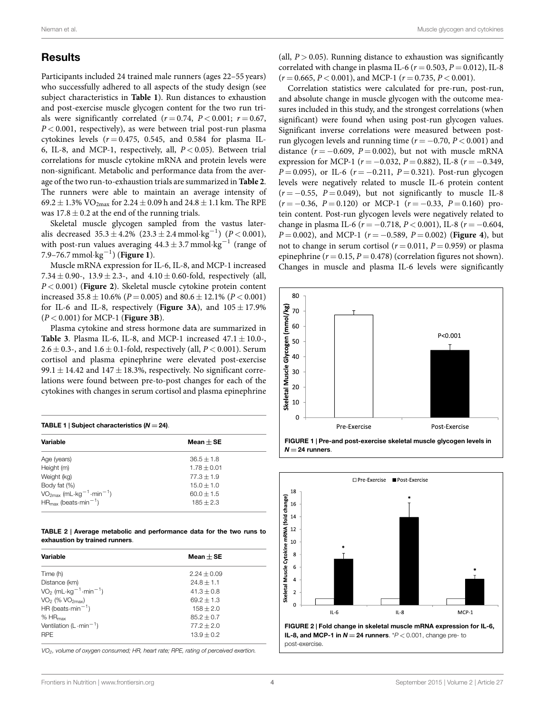#### **Results**

Participants included 24 trained male runners (ages 22–55 years) who successfully adhered to all aspects of the study design (see subject characteristics in **[Table 1](#page-4-0)**). Run distances to exhaustion and post-exercise muscle glycogen content for the two run trials were significantly correlated  $(r=0.74, P<0.001; r=0.67,$ *P <* 0.001, respectively), as were between trial post-run plasma cytokines levels  $(r=0.475, 0.545,$  and 0.584 for plasma IL-6, IL-8, and MCP-1, respectively, all,  $P < 0.05$ ). Between trial correlations for muscle cytokine mRNA and protein levels were non-significant. Metabolic and performance data from the average of the two run-to-exhaustion trials are summarized in **[Table 2](#page-4-1)**. The runners were able to maintain an average intensity of 69.2  $\pm$  1.3% VO<sub>2max</sub> for 2.24  $\pm$  0.09 h and 24.8  $\pm$  1.1 km. The RPE was  $17.8 \pm 0.2$  at the end of the running trials.

Skeletal muscle glycogen sampled from the vastus lateralis decreased 35.3 *<sup>±</sup>* 4.2% (23.3 *<sup>±</sup>* 2.4 mmol*·*kg*−*<sup>1</sup> ) (*P <* 0.001), with post-run values averaging 44.3 *<sup>±</sup>* 3.7 mmol*·*kg*−*<sup>1</sup> (range of 7.9–76.7 mmol*·*kg*−*<sup>1</sup> ) (**[Figure 1](#page-4-2)**).

Muscle mRNA expression for IL-6, IL-8, and MCP-1 increased 7.34 *±* 0.90-, 13.9 *±* 2.3-, and 4.10 *±* 0.60-fold, respectively (all, *P <* 0.001) (**[Figure 2](#page-4-3)**). Skeletal muscle cytokine protein content increased 35.8 *±* 10.6% (*P* = 0.005) and 80.6 *±* 12.1% (*P <* 0.001) for IL-6 and IL-8, respectively ([Figure 3A](#page-5-0)), and  $105 \pm 17.9\%$ (*P <* 0.001) for MCP-1 (**[Figure 3B](#page-5-0)**).

Plasma cytokine and stress hormone data are summarized in **[Table 3](#page-5-1)**. Plasma IL-6, IL-8, and MCP-1 increased 47.1 *±* 10.0-, 2.6  $\pm$  0.3-, and 1.6  $\pm$  0.1-fold, respectively (all, *P* < 0.001). Serum cortisol and plasma epinephrine were elevated post-exercise 99.1  $\pm$  14.42 and 147  $\pm$  18.3%, respectively. No significant correlations were found between pre-to-post changes for each of the cytokines with changes in serum cortisol and plasma epinephrine

<span id="page-4-0"></span>

| <b>TABLE 1</b>   Subject characteristics $(N = 24)$ .             |                |  |  |  |
|-------------------------------------------------------------------|----------------|--|--|--|
| Variable                                                          | Mean $\pm$ SE  |  |  |  |
| Age (years)                                                       | $36.5 \pm 1.8$ |  |  |  |
| Height (m)                                                        | $1.78 + 0.01$  |  |  |  |
| Weight (kg)                                                       | $77.3 + 1.9$   |  |  |  |
| Body fat (%)                                                      | $15.0 \pm 1.0$ |  |  |  |
| $VO2max$ (mL $\cdot$ kg <sup>-1</sup> $\cdot$ min <sup>-1</sup> ) | $60.0 + 1.5$   |  |  |  |
| $HR_{max}$ (beats $min^{-1}$ )                                    | $185 \pm 2.3$  |  |  |  |

<span id="page-4-1"></span>**TABLE 2 | Average metabolic and performance data for the two runs to exhaustion by trained runners**.

| Variable                                                       | Mean $\pm$ SE   |  |  |
|----------------------------------------------------------------|-----------------|--|--|
| Time (h)                                                       | $2.24 \pm 0.09$ |  |  |
| Distance (km)                                                  | $24.8 \pm 1.1$  |  |  |
| $VO2$ (mL $\cdot$ kg <sup>-1</sup> $\cdot$ min <sup>-1</sup> ) | $41.3 \pm 0.8$  |  |  |
| $VO2$ (% $VO2max$ )                                            | $69.2 + 1.3$    |  |  |
| HR (beats $\cdot$ min <sup>-1</sup> )                          | $158 \pm 2.0$   |  |  |
| $%$ HR <sub>max</sub>                                          | $85.2 \pm 0.7$  |  |  |
| Ventilation $(L \cdot min^{-1})$                               | $77.2 \pm 2.0$  |  |  |
| <b>RPF</b>                                                     | $13.9 \pm 0.2$  |  |  |

*VO2, volume of oxygen consumed; HR, heart rate; RPE, rating of perceived exertion.*

(all,  $P > 0.05$ ). Running distance to exhaustion was significantly correlated with change in plasma IL-6 ( $r = 0.503$ ,  $P = 0.012$ ), IL-8  $(r = 0.665, P < 0.001)$ , and MCP-1  $(r = 0.735, P < 0.001)$ .

Correlation statistics were calculated for pre-run, post-run, and absolute change in muscle glycogen with the outcome measures included in this study, and the strongest correlations (when significant) were found when using post-run glycogen values. Significant inverse correlations were measured between postrun glycogen levels and running time (*r* = *−*0.70, *P <* 0.001) and distance  $(r = -0.609, P = 0.002)$ , but not with muscle mRNA expression for MCP-1 (*r* = *−*0.032, *P* = 0.882), IL-8 (*r* = *−*0.349, *P* = 0.095), or IL-6 (*r* = −0.211, *P* = 0.321). Post-run glycogen levels were negatively related to muscle IL-6 protein content (*r* = *−*0.55, *P* = 0.049), but not significantly to muscle IL-8 (*r* = *−*0.36, *P* = 0.120) or MCP-1 (*r* = *−*0.33, *P* = 0.160) protein content. Post-run glycogen levels were negatively related to change in plasma IL-6 (*r* = *−*0.718, *P <* 0.001), IL-8 (*r* = *−*0.604, *P* = 0.002), and MCP-1 (*r* = *−*0.589, *P* = 0.002) (**[Figure 4](#page-5-2)**), but not to change in serum cortisol ( $r = 0.011$ ,  $P = 0.959$ ) or plasma epinephrine  $(r = 0.15, P = 0.478)$  (correlation figures not shown). Changes in muscle and plasma IL-6 levels were significantly



<span id="page-4-2"></span>

<span id="page-4-3"></span>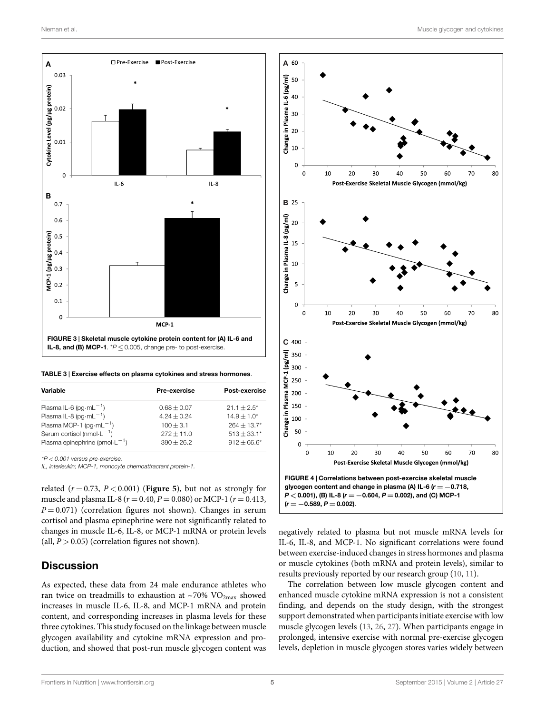

<span id="page-5-1"></span><span id="page-5-0"></span>

|  |  |  |  |  |  |  | TABLE 3   Exercise effects on plasma cytokines and stress hormones. |
|--|--|--|--|--|--|--|---------------------------------------------------------------------|
|--|--|--|--|--|--|--|---------------------------------------------------------------------|

| Pre-exercise  | Post-exercise    |  |
|---------------|------------------|--|
| $0.68 + 0.07$ | $21.1 + 2.5^*$   |  |
| $4.24 + 0.24$ | $14.9 + 1.0*$    |  |
| $100 + 3.1$   | $264 \pm 13.7$ * |  |
| $272 + 11.0$  | $513 + 33.1*$    |  |
| $390 + 26.2$  | $912 + 66.6^*$   |  |
|               |                  |  |

*\*P < 0.001 versus pre-exercise.*

*IL, interleukin; MCP-1, monocyte chemoattractant protein-1.*

related  $(r = 0.73, P < 0.001)$  (**[Figure 5](#page-6-9)**), but not as strongly for muscle and plasma IL-8 (*r* = 0.40, *P* = 0.080) or MCP-1 (*r* = 0.413,  $P = 0.071$ ) (correlation figures not shown). Changes in serum cortisol and plasma epinephrine were not significantly related to changes in muscle IL-6, IL-8, or MCP-1 mRNA or protein levels (all,  $P > 0.05$ ) (correlation figures not shown).

#### **Discussion**

As expected, these data from 24 male endurance athletes who ran twice on treadmills to exhaustion at  $\sim$ 70% VO<sub>2max</sub> showed increases in muscle IL-6, IL-8, and MCP-1 mRNA and protein content, and corresponding increases in plasma levels for these three cytokines. This study focused on the linkage between muscle glycogen availability and cytokine mRNA expression and production, and showed that post-run muscle glycogen content was



<span id="page-5-2"></span>negatively related to plasma but not muscle mRNA levels for IL-6, IL-8, and MCP-1. No significant correlations were found between exercise-induced changes in stress hormones and plasma or muscle cytokines (both mRNA and protein levels), similar to results previously reported by our research group [\(10](#page-6-10), [11\)](#page-7-1).

The correlation between low muscle glycogen content and enhanced muscle cytokine mRNA expression is not a consistent finding, and depends on the study design, with the strongest support demonstrated when participants initiate exercise with low muscle glycogen levels [\(13](#page-7-2), [26,](#page-7-10) [27\)](#page-7-11). When participants engage in prolonged, intensive exercise with normal pre-exercise glycogen levels, depletion in muscle glycogen stores varies widely between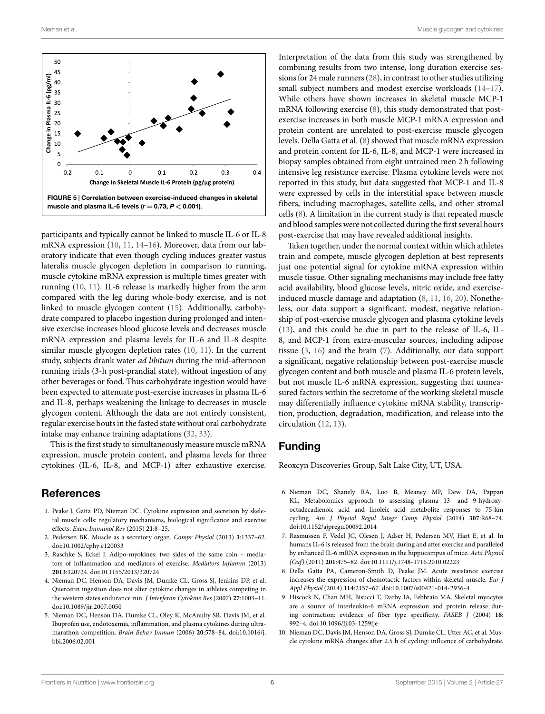

<span id="page-6-9"></span>participants and typically cannot be linked to muscle IL-6 or IL-8 mRNA expression [\(10,](#page-6-10) [11](#page-7-1), [14](#page-7-12)[–16](#page-7-7)). Moreover, data from our laboratory indicate that even though cycling induces greater vastus lateralis muscle glycogen depletion in comparison to running, muscle cytokine mRNA expression is multiple times greater with running([10,](#page-6-10) [11](#page-7-1)). IL-6 release is markedly higher from the arm compared with the leg during whole-body exercise, and is not linked to muscle glycogen content [\(15\)](#page-7-13). Additionally, carbohydrate compared to placebo ingestion during prolonged and intensive exercise increases blood glucose levels and decreases muscle mRNA expression and plasma levels for IL-6 and IL-8 despite similar muscle glycogen depletion rates [\(10](#page-6-10), [11\)](#page-7-1). In the current study, subjects drank water *ad libitum* during the mid-afternoon running trials (3-h post-prandial state), without ingestion of any other beverages or food. Thus carbohydrate ingestion would have been expected to attenuate post-exercise increases in plasma IL-6 and IL-8, perhaps weakening the linkage to decreases in muscle glycogen content. Although the data are not entirely consistent, regular exercise bouts in the fasted state without oral carbohydrate intake may enhance training adaptations([32](#page-7-19), [33](#page-7-20)).

This is the first study to simultaneously measure muscle mRNA expression, muscle protein content, and plasma levels for three cytokines (IL-6, IL-8, and MCP-1) after exhaustive exercise.

## **References**

- <span id="page-6-0"></span>1. Peake J, Gatta PD, Nieman DC. Cytokine expression and secretion by skeletal muscle cells: regulatory mechanisms, biological significance and exercise effects. *Exerc Immunol Rev* (2015) **21**:8–25.
- <span id="page-6-2"></span>2. Pedersen BK. Muscle as a secretory organ. *Compr Physiol* (2013) **3**:1337–62. doi[:10.1002/cphy.c120033](http://dx.doi.org/10.1002/cphy.c120033)
- <span id="page-6-1"></span>3. Raschke S, Eckel J. Adipo-myokines: two sides of the same coin – mediators of inflammation and mediators of exercise. *Mediators Inflamm* (2013) **2013**:320724. doi[:10.1155/2013/320724](http://dx.doi.org/10.1155/2013/320724)
- <span id="page-6-3"></span>4. Nieman DC, Henson DA, Davis JM, Dumke CL, Gross SJ, Jenkins DP, et al. Quercetin ingestion does not alter cytokine changes in athletes competing in the western states endurance run. *J Interferon Cytokine Res* (2007) **27**:1003–11. doi[:10.1089/jir.2007.0050](http://dx.doi.org/10.1089/jir.2007.0050)
- <span id="page-6-8"></span>5. Nieman DC, Henson DA, Dumke CL, Oley K, McAnulty SR, Davis JM, et al. Ibuprofen use, endotoxemia, inflammation, and plasma cytokines during ultramarathon competition. *Brain Behav Immun* (2006) **20**:578–84. doi:[10.1016/j.](http://dx.doi.org/10.1016/j.bbi.2006.02.001) [bbi.2006.02.001](http://dx.doi.org/10.1016/j.bbi.2006.02.001)

Interpretation of the data from this study was strengthened by combining results from two intense, long duration exercise sessions for 24 male runners([28](#page-7-15)), in contrast to other studies utilizing small subject numbers and modest exercise workloads([14–](#page-7-12)[17\)](#page-7-14). While others have shown increases in skeletal muscle MCP-1 mRNA following exercise [\(8\)](#page-6-6), this study demonstrated that postexercise increases in both muscle MCP-1 mRNA expression and protein content are unrelated to post-exercise muscle glycogen levels. Della Gatta et al. [\(8\)](#page-6-6) showed that muscle mRNA expression and protein content for IL-6, IL-8, and MCP-1 were increased in biopsy samples obtained from eight untrained men 2 h following intensive leg resistance exercise. Plasma cytokine levels were not reported in this study, but data suggested that MCP-1 and IL-8 were expressed by cells in the interstitial space between muscle fibers, including macrophages, satellite cells, and other stromal cells [\(8\)](#page-6-6). A limitation in the current study is that repeated muscle and blood samples were not collected during the first several hours post-exercise that may have revealed additional insights.

Taken together, under the normal context within which athletes train and compete, muscle glycogen depletion at best represents just one potential signal for cytokine mRNA expression within muscle tissue. Other signaling mechanisms may include free fatty acid availability, blood glucose levels, nitric oxide, and exerciseinduced muscle damage and adaptation([8](#page-6-6), [11](#page-7-1), [16,](#page-7-7) [20](#page-7-3)). Nonetheless, our data support a significant, modest, negative relationship of post-exercise muscle glycogen and plasma cytokine levels ([13\)](#page-7-2), and this could be due in part to the release of IL-6, IL-8, and MCP-1 from extra-muscular sources, including adipose tissue([3](#page-6-1), [16\)](#page-7-7) and the brain([7](#page-6-5)). Additionally, our data support a significant, negative relationship between post-exercise muscle glycogen content and both muscle and plasma IL-6 protein levels, but not muscle IL-6 mRNA expression, suggesting that unmeasured factors within the secretome of the working skeletal muscle may differentially influence cytokine mRNA stability, transcription, production, degradation, modification, and release into the circulation([12,](#page-7-0) [13](#page-7-2)).

## **Funding**

Reoxcyn Discoveries Group, Salt Lake City, UT, USA.

- <span id="page-6-4"></span>6. Nieman DC, Shanely RA, Luo B, Meaney MP, Dew DA, Pappan KL. Metabolomics approach to assessing plasma 13- and 9-hydroxyoctadecadienoic acid and linoleic acid metabolite responses to 75-km cycling. *Am J Physiol Regul Integr Comp Physiol* (2014) **307**:R68–74. doi:[10.1152/ajpregu.00092.2014](http://dx.doi.org/10.1152/ajpregu.00092.2014)
- <span id="page-6-5"></span>7. Rasmussen P, Vedel JC, Olesen J, Adser H, Pedersen MV, Hart E, et al. In humans IL-6 is released from the brain during and after exercise and paralleled by enhanced IL-6 mRNA expression in the hippocampus of mice. *Acta Physiol (Oxf)* (2011) **201**:475–82. doi[:10.1111/j.1748-1716.2010.02223](http://dx.doi.org/10.1111/j.1748-1716.2010.02223)
- <span id="page-6-6"></span>8. Della Gatta PA, Cameron-Smith D, Peake JM. Acute resistance exercise increases the expression of chemotactic factors within skeletal muscle. *Eur J Appl Physiol* (2014) **114**:2157–67. doi:[10.1007/s00421-014-2936-4](http://dx.doi.org/10.1007/s00421-014-2936-4)
- <span id="page-6-7"></span>9. Hiscock N, Chan MH, Bisucci T, Darby IA, Febbraio MA. Skeletal myocytes are a source of interleukin-6 mRNA expression and protein release during contraction: evidence of fiber type specificity. *FASEB J* (2004) **18**: 992–4. doi:[10.1096/fj.03-1259fje](http://dx.doi.org/10.1096/fj.03-1259fje)
- <span id="page-6-10"></span>10. Nieman DC, Davis JM, Henson DA, Gross SJ, Dumke CL, Utter AC, et al. Muscle cytokine mRNA changes after 2.5 h of cycling: influence of carbohydrate.